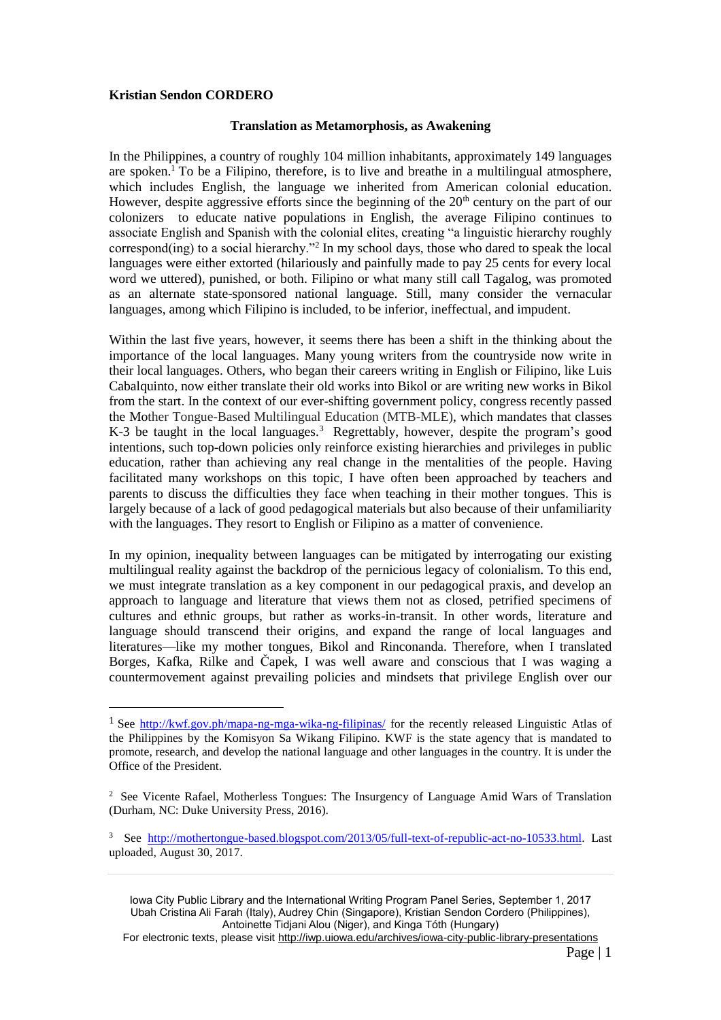## **Kristian Sendon CORDERO**

 $\overline{\phantom{a}}$ 

## **Translation as Metamorphosis, as Awakening**

In the Philippines, a country of roughly 104 million inhabitants, approximately 149 languages are spoken.<sup>1</sup> To be a Filipino, therefore, is to live and breathe in a multilingual atmosphere, which includes English, the language we inherited from American colonial education. However, despite aggressive efforts since the beginning of the  $20<sup>th</sup>$  century on the part of our colonizers to educate native populations in English, the average Filipino continues to associate English and Spanish with the colonial elites, creating "a linguistic hierarchy roughly correspond(ing) to a social hierarchy."<sup>2</sup> In my school days, those who dared to speak the local languages were either extorted (hilariously and painfully made to pay 25 cents for every local word we uttered), punished, or both. Filipino or what many still call Tagalog, was promoted as an alternate state-sponsored national language. Still, many consider the vernacular languages, among which Filipino is included, to be inferior, ineffectual, and impudent.

Within the last five years, however, it seems there has been a shift in the thinking about the importance of the local languages. Many young writers from the countryside now write in their local languages. Others, who began their careers writing in English or Filipino, like Luis Cabalquinto, now either translate their old works into Bikol or are writing new works in Bikol from the start. In the context of our ever-shifting government policy, congress recently passed the Mother Tongue-Based Multilingual Education (MTB-MLE), which mandates that classes K-3 be taught in the local languages.<sup>3</sup> Regrettably, however, despite the program's good intentions, such top-down policies only reinforce existing hierarchies and privileges in public education, rather than achieving any real change in the mentalities of the people. Having facilitated many workshops on this topic, I have often been approached by teachers and parents to discuss the difficulties they face when teaching in their mother tongues. This is largely because of a lack of good pedagogical materials but also because of their unfamiliarity with the languages. They resort to English or Filipino as a matter of convenience.

In my opinion, inequality between languages can be mitigated by interrogating our existing multilingual reality against the backdrop of the pernicious legacy of colonialism. To this end, we must integrate translation as a key component in our pedagogical praxis, and develop an approach to language and literature that views them not as closed, petrified specimens of cultures and ethnic groups, but rather as works-in-transit. In other words, literature and language should transcend their origins, and expand the range of local languages and literatures—like my mother tongues, Bikol and Rinconanda. Therefore, when I translated Borges, Kafka, Rilke and Čapek, I was well aware and conscious that I was waging a countermovement against prevailing policies and mindsets that privilege English over our

Iowa City Public Library and the International Writing Program Panel Series, September 1, 2017 Ubah Cristina Ali Farah (Italy), Audrey Chin (Singapore), Kristian Sendon Cordero (Philippines), Antoinette Tidjani Alou (Niger), and Kinga Tóth (Hungary)

For electronic texts, please visit http://iwp.uiowa.edu/archives/iowa-city-public-library-presentations

<sup>1</sup> See<http://kwf.gov.ph/mapa-ng-mga-wika-ng-filipinas/> for the recently released Linguistic Atlas of the Philippines by the Komisyon Sa Wikang Filipino. KWF is the state agency that is mandated to promote, research, and develop the national language and other languages in the country. It is under the Office of the President.

<sup>&</sup>lt;sup>2</sup> See Vicente Rafael, Motherless Tongues: The Insurgency of Language Amid Wars of Translation (Durham, NC: Duke University Press, 2016).

<sup>&</sup>lt;sup>3</sup> See [http://mothertongue-based.blogspot.com/2013/05/full-text-of-republic-act-no-10533.html.](http://mothertongue-based.blogspot.com/2013/05/full-text-of-republic-act-no-10533.html) Last uploaded, August 30, 2017.